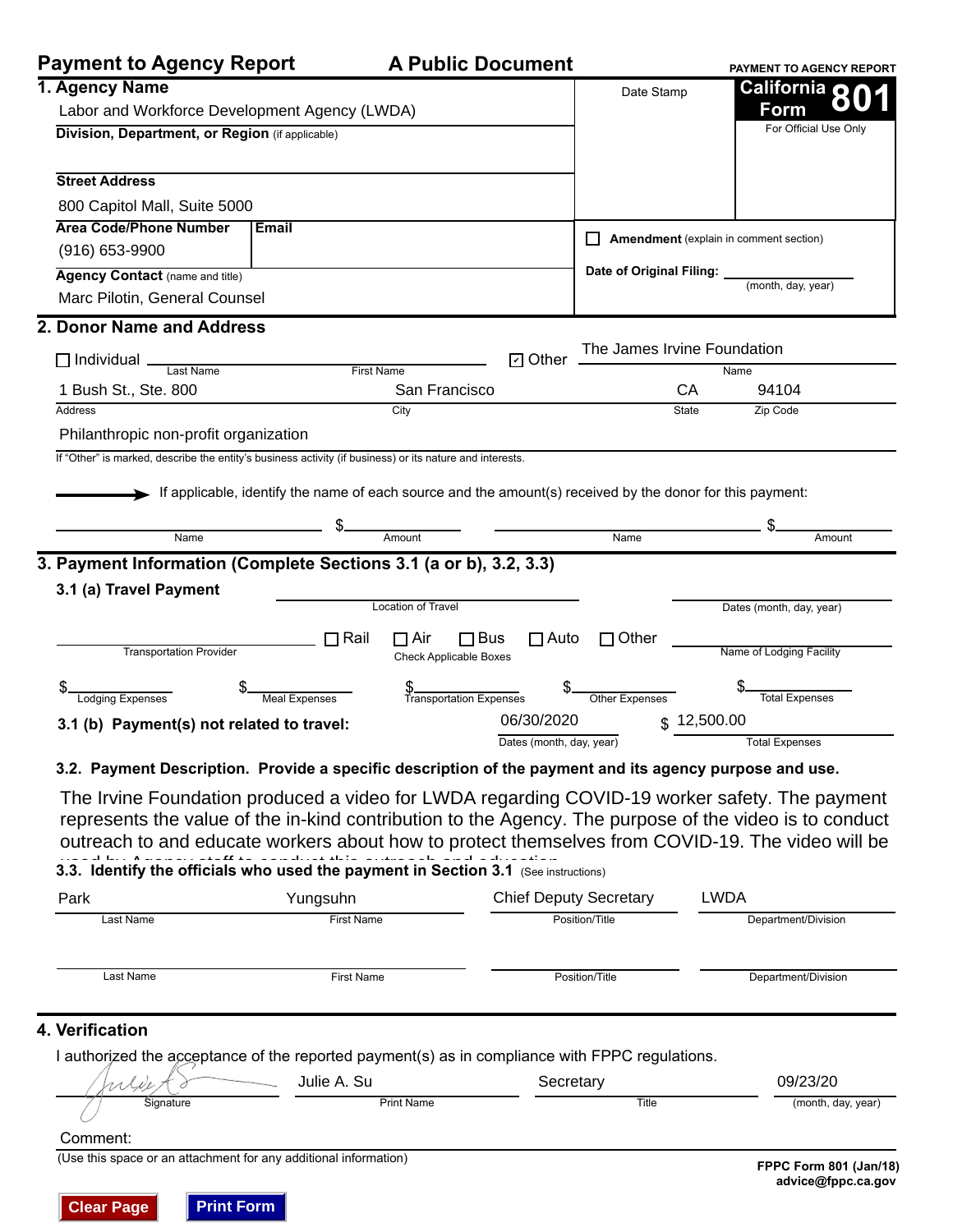|  |  |  |  |  |  |  | <b>A Public Document</b> |  |
|--|--|--|--|--|--|--|--------------------------|--|
|--|--|--|--|--|--|--|--------------------------|--|

| <b>Payment to Agency Report</b>                                                                          |                                                                                                           | <b>A Public Document</b>      |                |                            |                                        | PAYMENT TO AGENCY REPORT |
|----------------------------------------------------------------------------------------------------------|-----------------------------------------------------------------------------------------------------------|-------------------------------|----------------|----------------------------|----------------------------------------|--------------------------|
| 1. Agency Name                                                                                           |                                                                                                           |                               |                | Date Stamp                 |                                        | California o             |
| Labor and Workforce Development Agency (LWDA)                                                            |                                                                                                           |                               |                |                            |                                        | Form                     |
| Division, Department, or Region (if applicable)                                                          |                                                                                                           |                               |                |                            |                                        | For Official Use Only    |
| <b>Street Address</b>                                                                                    |                                                                                                           |                               |                |                            |                                        |                          |
| 800 Capitol Mall, Suite 5000                                                                             |                                                                                                           |                               |                |                            |                                        |                          |
| <b>Area Code/Phone Number</b>                                                                            | <b>Email</b>                                                                                              |                               |                |                            | Amendment (explain in comment section) |                          |
| $(916) 653 - 9900$                                                                                       |                                                                                                           |                               |                |                            |                                        |                          |
| Agency Contact (name and title)                                                                          |                                                                                                           |                               |                | Date of Original Filing: _ |                                        | (month, day, year)       |
| Marc Pilotin, General Counsel                                                                            |                                                                                                           |                               |                |                            |                                        |                          |
| 2. Donor Name and Address                                                                                |                                                                                                           |                               |                |                            |                                        |                          |
| $\Box$ Individual $\Box$<br>Last Name                                                                    | <b>First Name</b>                                                                                         |                               | <b>□</b> Other |                            | The James Irvine Foundation<br>Name    |                          |
| 1 Bush St., Ste. 800                                                                                     |                                                                                                           | San Francisco                 |                |                            | CA                                     | 94104                    |
| Address                                                                                                  |                                                                                                           | City                          |                |                            | State                                  | Zip Code                 |
| Philanthropic non-profit organization                                                                    |                                                                                                           |                               |                |                            |                                        |                          |
| If "Other" is marked, describe the entity's business activity (if business) or its nature and interests. |                                                                                                           |                               |                |                            |                                        |                          |
|                                                                                                          | If applicable, identify the name of each source and the amount(s) received by the donor for this payment: |                               |                |                            |                                        |                          |
|                                                                                                          |                                                                                                           |                               |                |                            |                                        |                          |
| Name                                                                                                     |                                                                                                           |                               |                | $\overline{\mathsf{Name}}$ |                                        | Amount                   |
| 3. Payment Information (Complete Sections 3.1 (a or b), 3.2, 3.3)                                        |                                                                                                           |                               |                |                            |                                        |                          |
| 3.1 (a) Travel Payment                                                                                   |                                                                                                           |                               |                |                            |                                        |                          |
|                                                                                                          |                                                                                                           | <b>Location of Travel</b>     |                |                            |                                        | Dates (month, day, year) |
|                                                                                                          | $\Box$ Rail                                                                                               | $\Box$ Bus<br>$\sqcap$ Air    | $\Box$ Auto    | $\Box$ Other               |                                        |                          |
| <b>Transportation Provider</b>                                                                           |                                                                                                           | <b>Check Applicable Boxes</b> |                |                            |                                        | Name of Lodging Facility |
| <b>Lodging Expenses</b>                                                                                  | Meal Expenses                                                                                             | \$<br>Transportation Expenses |                | Other Expenses             |                                        | <b>Total Expenses</b>    |
| 3.1 (b) Payment(s) not related to travel:                                                                |                                                                                                           |                               | 06/30/2020     |                            | \$12,500.00                            |                          |
|                                                                                                          |                                                                                                           |                               |                |                            |                                        |                          |

The Irvine Foundation produced a video for LWDA regarding COVID-19 worker safety. The payment represents the value of the in-kind contribution to the Agency. The purpose of the video is to conduct outreach to and educate workers about how to protect themselves from COVID-19. The video will be

## **3.3. Identify the officials who used the payment in Section 3.1** (See instructions)

| Park      | Yungsuhn          | <b>Chief Deputy Secretary</b> | LWDA                |
|-----------|-------------------|-------------------------------|---------------------|
| Last Name | <b>First Name</b> | Position/Title                | Department/Division |
| Last Name | <b>First Name</b> | Position/Title                | Department/Division |

### **4. Verification**

I authorized the acceptance of the reported payment(s) as in compliance with FPPC regulations.

|           | Julie A. Su       | ecretaryب | 09/23/20           |
|-----------|-------------------|-----------|--------------------|
| Signature | <b>Print Name</b> | Title     | (month, day, year) |

#### Comment:

(Use this space or an attachment for any additional information) **FPPC Form 801 (Jan/18)**